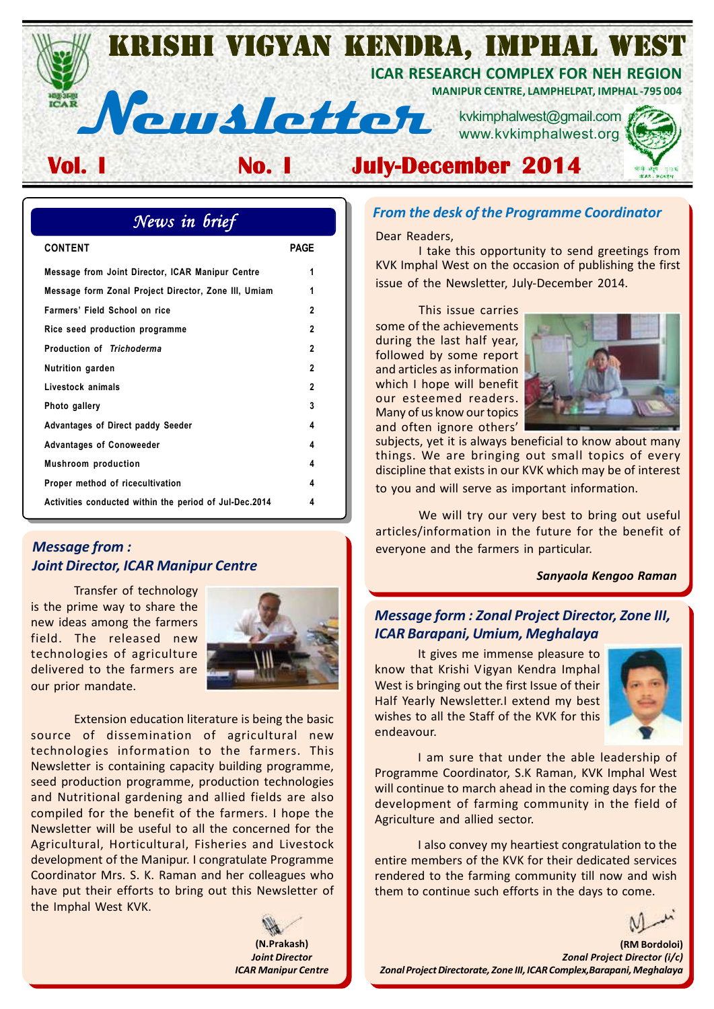

| News in brief                                          |              |  |  |  |  |
|--------------------------------------------------------|--------------|--|--|--|--|
| <b>CONTENT</b>                                         | PAGF         |  |  |  |  |
| Message from Joint Director, ICAR Manipur Centre       | 1            |  |  |  |  |
| Message form Zonal Project Director, Zone III, Umiam   | 1            |  |  |  |  |
| Farmers' Field School on rice                          | $\mathbf{v}$ |  |  |  |  |
| Rice seed production programme                         | 2            |  |  |  |  |
| Production of Trichoderma                              | $\mathbf{v}$ |  |  |  |  |
| Nutrition garden                                       | $\mathbf{v}$ |  |  |  |  |
| Livestock animals                                      | 2            |  |  |  |  |
| Photo gallery                                          | 3            |  |  |  |  |
| <b>Advantages of Direct paddy Seeder</b>               | 4            |  |  |  |  |
| <b>Advantages of Conoweeder</b>                        | 4            |  |  |  |  |
| <b>Mushroom</b> production                             | 4            |  |  |  |  |
| Proper method of ricecultivation                       | 4            |  |  |  |  |
| Activities conducted within the period of Jul-Dec.2014 | 4            |  |  |  |  |

# *Message from : Joint Director, ICAR Manipur Centre*

Transfer of technology is the prime way to share the new ideas among the farmers field. The released new technologies of agriculture delivered to the farmers are our prior mandate.



Extension education literature is being the basic source of dissemination of agricultural new technologies information to the farmers. This Newsletter is containing capacity building programme, seed production programme, production technologies and Nutritional gardening and allied fields are also compiled for the benefit of the farmers. I hope the Newsletter will be useful to all the concerned for the Agricultural, Horticultural, Fisheries and Livestock development of the Manipur. I congratulate Programme Coordinator Mrs. S. K. Raman and her colleagues who have put their efforts to bring out this Newsletter of the Imphal West KVK.

> **(N.Prakash)** *Joint Director ICAR Manipur Centre*

## *From the desk of the Programme Coordinator*

Dear Readers,

I take this opportunity to send greetings from KVK Imphal West on the occasion of publishing the first issue of the Newsletter, July-December 2014.

This issue carries some of the achievements during the last half year, followed by some report and articles as information which I hope will benefit our esteemed readers. Many of us know our topics and often ignore others'



subjects, yet it is always beneficial to know about many things. We are bringing out small topics of every discipline that exists in our KVK which may be of interest to you and will serve as important information.

We will try our very best to bring out useful articles/information in the future for the benefit of everyone and the farmers in particular.

#### *Sanyaola Kengoo Raman*

# *Message form : Zonal Project Director, Zone III, ICAR Barapani, Umium, Meghalaya*

It gives me immense pleasure to know that Krishi Vigyan Kendra Imphal West is bringing out the first Issue of their Half Yearly Newsletter.I extend my best wishes to all the Staff of the KVK for this endeavour.



I am sure that under the able leadership of Programme Coordinator, S.K Raman, KVK Imphal West will continue to march ahead in the coming days for the development of farming community in the field of Agriculture and allied sector.

I also convey my heartiest congratulation to the entire members of the KVK for their dedicated services rendered to the farming community till now and wish them to continue such efforts in the days to come.

**(RM Bordoloi)** *Zonal Project Director (i/c) Zonal Project Directorate, Zone III, ICAR Complex,Barapani, Meghalaya*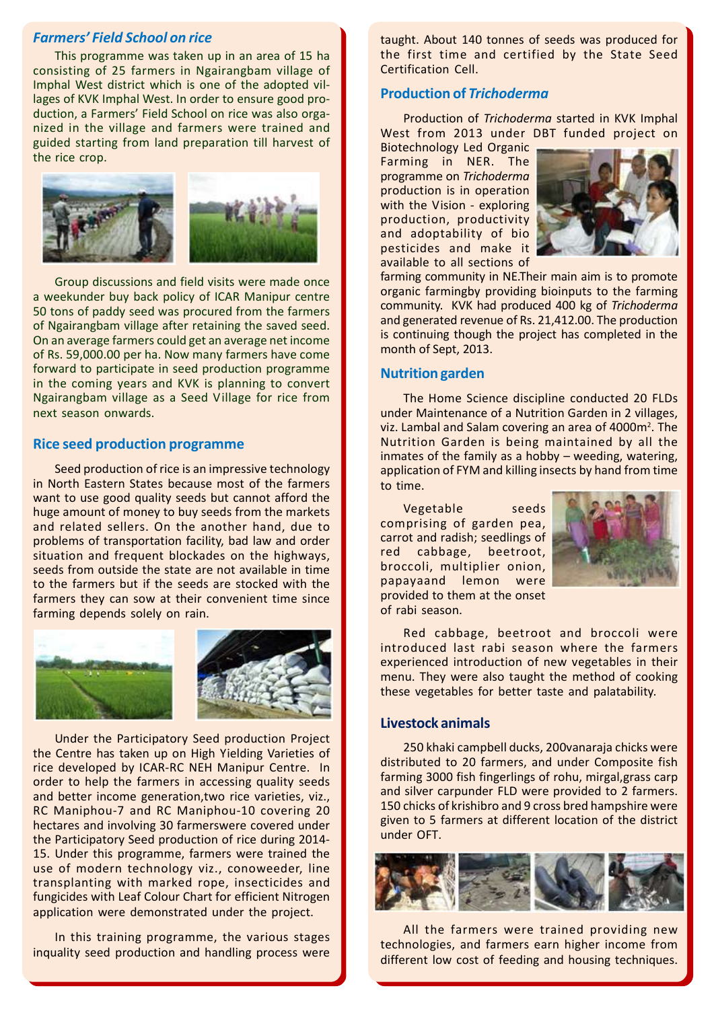# *Farmers' Field School on rice*

This programme was taken up in an area of 15 ha consisting of 25 farmers in Ngairangbam village of Imphal West district which is one of the adopted villages of KVK Imphal West. In order to ensure good production, a Farmers' Field School on rice was also organized in the village and farmers were trained and guided starting from land preparation till harvest of the rice crop.



Group discussions and field visits were made once a weekunder buy back policy of ICAR Manipur centre 50 tons of paddy seed was procured from the farmers of Ngairangbam village after retaining the saved seed. On an average farmers could get an average net income of Rs. 59,000.00 per ha. Now many farmers have come forward to participate in seed production programme in the coming years and KVK is planning to convert Ngairangbam village as a Seed Village for rice from next season onwards.

#### **Rice seed production programme**

Seed production of rice is an impressive technology in North Eastern States because most of the farmers want to use good quality seeds but cannot afford the huge amount of money to buy seeds from the markets and related sellers. On the another hand, due to problems of transportation facility, bad law and order situation and frequent blockades on the highways, seeds from outside the state are not available in time to the farmers but if the seeds are stocked with the farmers they can sow at their convenient time since farming depends solely on rain.



Under the Participatory Seed production Project the Centre has taken up on High Yielding Varieties of rice developed by ICAR-RC NEH Manipur Centre. In order to help the farmers in accessing quality seeds and better income generation,two rice varieties, viz., RC Maniphou-7 and RC Maniphou-10 covering 20 hectares and involving 30 farmerswere covered under the Participatory Seed production of rice during 2014- 15. Under this programme, farmers were trained the use of modern technology viz., conoweeder, line transplanting with marked rope, insecticides and fungicides with Leaf Colour Chart for efficient Nitrogen application were demonstrated under the project.

In this training programme, the various stages inquality seed production and handling process were

taught. About 140 tonnes of seeds was produced for the first time and certified by the State Seed Certification Cell.

# **Production of** *Trichoderma*

Production of *Trichoderma* started in KVK Imphal West from 2013 under DBT funded project on

Biotechnology Led Organic Farming in NER. The programme on *Trichoderma* production is in operation with the Vision - exploring production, productivity and adoptability of bio pesticides and make it available to all sections of



farming community in NE.Their main aim is to promote organic farmingby providing bioinputs to the farming community. KVK had produced 400 kg of *Trichoderma* and generated revenue of Rs. 21,412.00. The production is continuing though the project has completed in the month of Sept, 2013.

# **Nutrition garden**

The Home Science discipline conducted 20 FLDs under Maintenance of a Nutrition Garden in 2 villages, viz. Lambal and Salam covering an area of 4000m<sup>2</sup>. The Nutrition Garden is being maintained by all the inmates of the family as a hobby – weeding, watering, application of FYM and killing insects by hand from time to time.

Vegetable seeds comprising of garden pea, carrot and radish; seedlings of red cabbage, beetroot, broccoli, multiplier onion, papayaand lemon were provided to them at the onset of rabi season.



Red cabbage, beetroot and broccoli were introduced last rabi season where the farmers experienced introduction of new vegetables in their menu. They were also taught the method of cooking these vegetables for better taste and palatability.

#### **Livestock animals**

250 khaki campbell ducks, 200vanaraja chicks were distributed to 20 farmers, and under Composite fish farming 3000 fish fingerlings of rohu, mirgal,grass carp and silver carpunder FLD were provided to 2 farmers. 150 chicks of krishibro and 9 cross bred hampshire were given to 5 farmers at different location of the district under OFT.



All the farmers were trained providing new technologies, and farmers earn higher income from different low cost of feeding and housing techniques.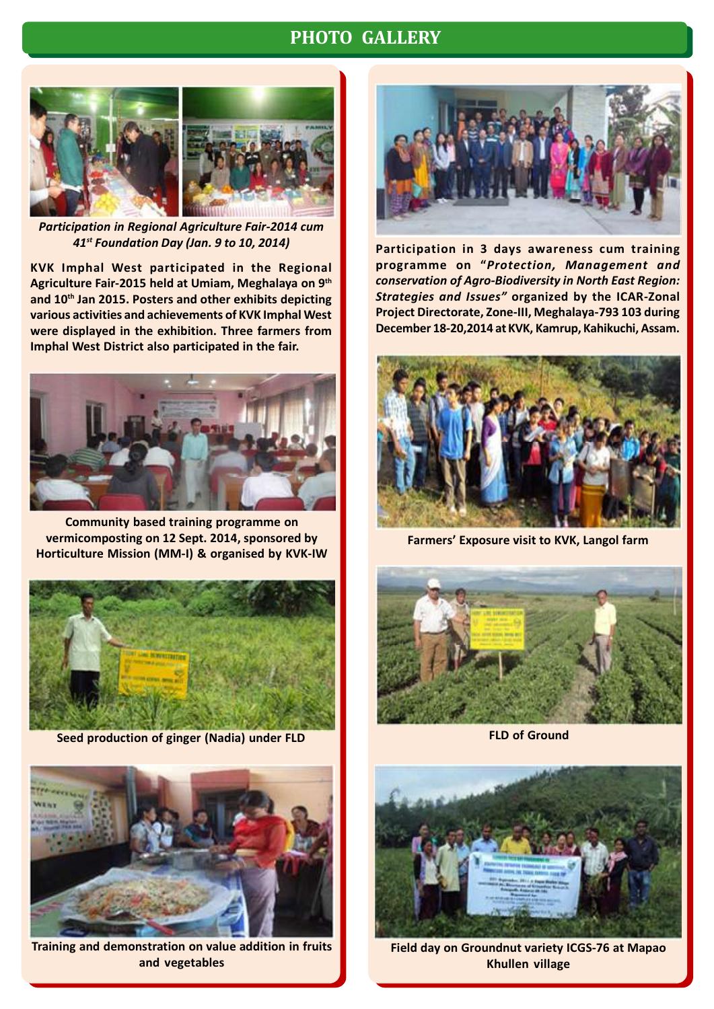# **PHOTO GALLERY**





*Participation in Regional Agriculture Fair-2014 cum 41st Foundation Day (Jan. 9 to 10, 2014)*

**KVK Imphal West participated in the Regional Agriculture Fair-2015 held at Umiam, Meghalaya on 9th and 10th Jan 2015. Posters and other exhibits depicting various activities and achievements of KVK Imphal West were displayed in the exhibition. Three farmers from Imphal West District also participated in the fair.**



**Community based training programme on vermicomposting on 12 Sept. 2014, sponsored by Horticulture Mission (MM-I) & organised by KVK-IW**



**Seed production of ginger (Nadia) under FLD**



**Training and demonstration on value addition in fruits and vegetables**



**Participation in 3 days awareness cum training programme on "***Protection, Management and conservation of Agro-Biodiversity in North East Region: Strategies and Issues"* **organized by the ICAR-Zonal Project Directorate, Zone-III, Meghalaya-793 103 during December 18-20,2014 at KVK, Kamrup, Kahikuchi, Assam.**



**Farmers' Exposure visit to KVK, Langol farm**



**FLD of Ground**



**Field day on Groundnut variety ICGS-76 at Mapao Khullen village**